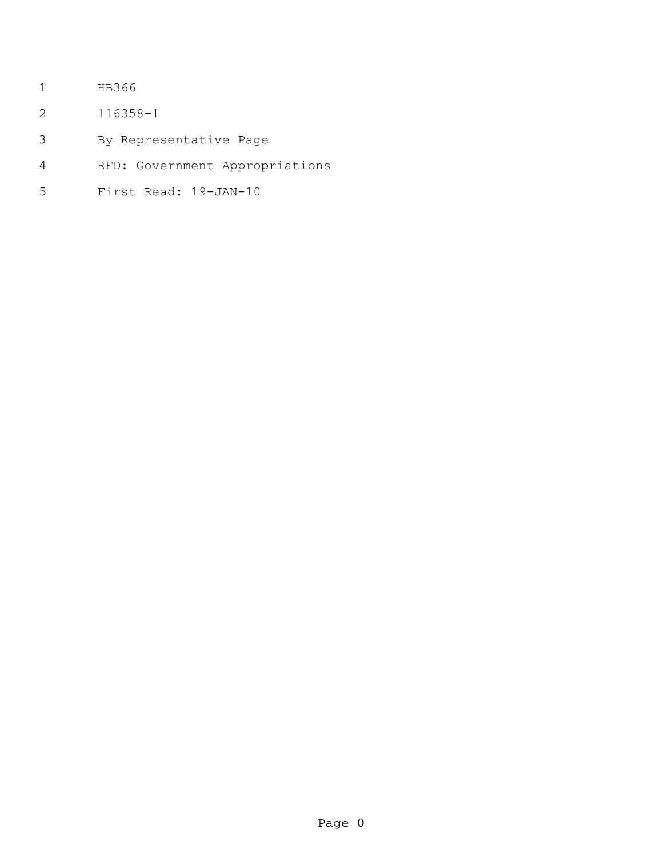- HB366
- 116358-1
- By Representative Page
- RFD: Government Appropriations
- First Read: 19-JAN-10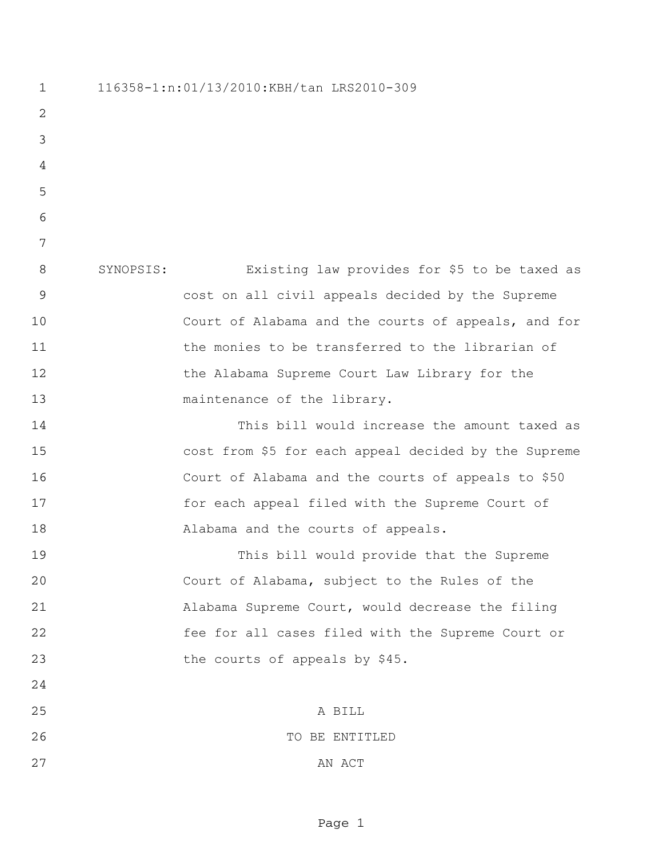116358-1:n:01/13/2010:KBH/tan LRS2010-309 SYNOPSIS: Existing law provides for \$5 to be taxed as cost on all civil appeals decided by the Supreme Court of Alabama and the courts of appeals, and for 11 the monies to be transferred to the librarian of the Alabama Supreme Court Law Library for the 13 maintenance of the library. This bill would increase the amount taxed as cost from \$5 for each appeal decided by the Supreme Court of Alabama and the courts of appeals to \$50 17 for each appeal filed with the Supreme Court of Alabama and the courts of appeals. This bill would provide that the Supreme Court of Alabama, subject to the Rules of the Alabama Supreme Court, would decrease the filing fee for all cases filed with the Supreme Court or the courts of appeals by \$45. A BILL TO BE ENTITLED 27 AN ACT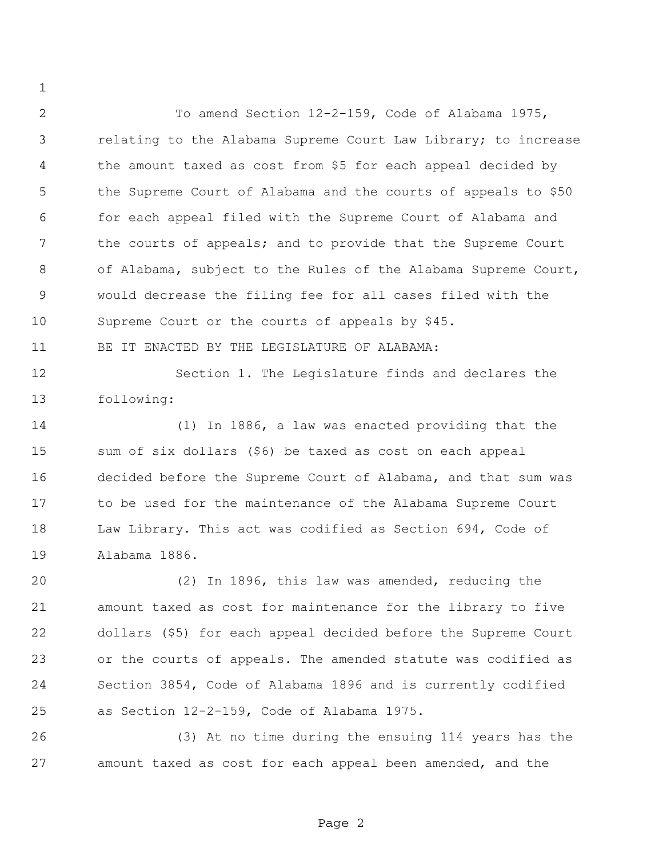To amend Section 12-2-159, Code of Alabama 1975, relating to the Alabama Supreme Court Law Library; to increase the amount taxed as cost from \$5 for each appeal decided by the Supreme Court of Alabama and the courts of appeals to \$50 for each appeal filed with the Supreme Court of Alabama and the courts of appeals; and to provide that the Supreme Court of Alabama, subject to the Rules of the Alabama Supreme Court, would decrease the filing fee for all cases filed with the Supreme Court or the courts of appeals by \$45.

BE IT ENACTED BY THE LEGISLATURE OF ALABAMA:

 Section 1. The Legislature finds and declares the following:

 (1) In 1886, a law was enacted providing that the sum of six dollars (\$6) be taxed as cost on each appeal decided before the Supreme Court of Alabama, and that sum was to be used for the maintenance of the Alabama Supreme Court Law Library. This act was codified as Section 694, Code of Alabama 1886.

 (2) In 1896, this law was amended, reducing the amount taxed as cost for maintenance for the library to five dollars (\$5) for each appeal decided before the Supreme Court or the courts of appeals. The amended statute was codified as Section 3854, Code of Alabama 1896 and is currently codified as Section 12-2-159, Code of Alabama 1975.

 (3) At no time during the ensuing 114 years has the amount taxed as cost for each appeal been amended, and the